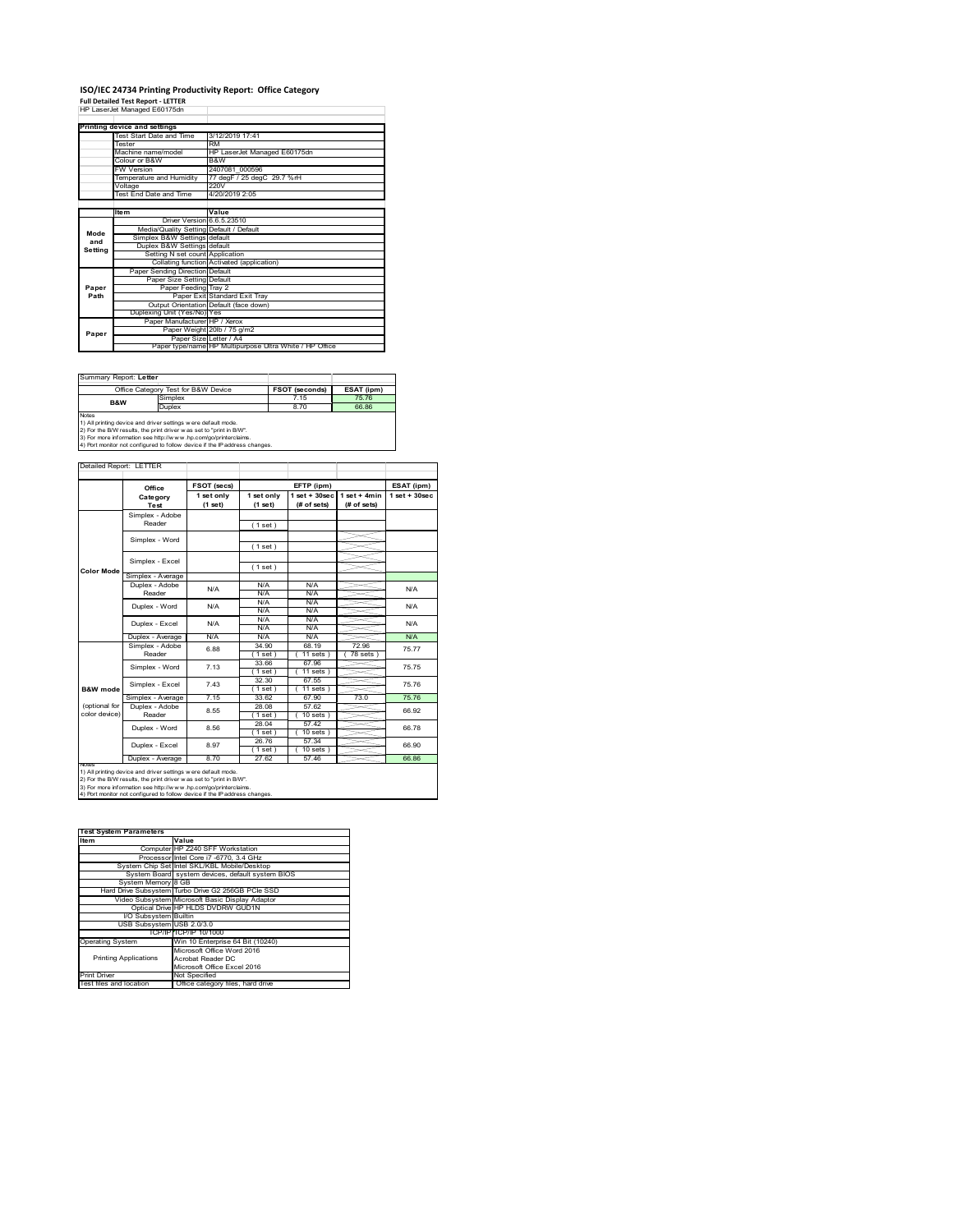#### **ISO/IEC 24734 Printing Productivity Report: Office Category**

**Full Detailed Test Report ‐ LETTER** HP LaserJet Managed E60175dn

|         | Printing device and settings            |                                                         |
|---------|-----------------------------------------|---------------------------------------------------------|
|         | Test Start Date and Time                | 3/12/2019 17:41                                         |
|         | Tester                                  | <b>RM</b>                                               |
|         | Machine name/model                      | HP LaserJet Managed E60175dn                            |
|         | Colour or B&W                           | B&W                                                     |
|         | <b>FW Version</b>                       | 2407081 000596                                          |
|         | Temperature and Humidity                | 77 degF / 25 degC 29.7 %rH                              |
|         | Voltage                                 | 220V                                                    |
|         | <b>Test End Date and Time</b>           | 4/20/2019 2:05                                          |
|         |                                         |                                                         |
|         | <b>Item</b>                             | Value                                                   |
|         | Driver Version 6.6.5.23510              |                                                         |
| Mode    | Media/Quality Setting Default / Default |                                                         |
| and     | Simplex B&W Settings default            |                                                         |
| Setting | Duplex B&W Settings default             |                                                         |
|         | Setting N set count Application         |                                                         |
|         |                                         | Collating function Activated (application)              |
|         | Paper Sending Direction Default         |                                                         |
|         | Paper Size Setting Default              |                                                         |
| Paper   | Paper Feeding Tray 2                    |                                                         |
| Path    |                                         | Paper Exit Standard Exit Tray                           |
|         |                                         | Output Orientation Default (face down)                  |
|         | Duplexing Unit (Yes/No) Yes             |                                                         |
|         | Paper Manufacturer HP / Xerox           |                                                         |
| Paper   |                                         | Paper Weight 20lb / 75 g/m2                             |
|         |                                         | Paper Size Letter / A4                                  |
|         |                                         | Paper type/name HP Multipurpose Ultra White / HP Office |

| Summary Report: Letter                                                                                                                                                                                                                                                                                |         |                       |            |  |  |
|-------------------------------------------------------------------------------------------------------------------------------------------------------------------------------------------------------------------------------------------------------------------------------------------------------|---------|-----------------------|------------|--|--|
| Office Category Test for B&W Device                                                                                                                                                                                                                                                                   |         | <b>FSOT (seconds)</b> | ESAT (ipm) |  |  |
| <b>B&amp;W</b>                                                                                                                                                                                                                                                                                        | Simplex | 7 15                  | 75.76      |  |  |
|                                                                                                                                                                                                                                                                                                       | Duplex  | 8.70                  | 66.86      |  |  |
| <b>Notes</b><br>1) All printing device and driver settings were default mode.<br>2) For the B/W results, the print driver was set to "print in B/W".<br>3) For more information see http://www.hp.com/go/printerclaims.<br>4) Port monitor not configured to follow device if the IP address changes. |         |                       |            |  |  |

tailed Report: LETTER **FSOT (secs) ESAT (ipm) EFTP (ipm) Office 1 set + 30sec 1 set only (1 set) 1 set only (1 set) 1 set + 30sec (# of sets) 1 set + 4min (# of sets) Category Test** Simplex - Adobe Reader ( 1 set ) Simplex - Word ( 1 set ) Simplex - Excel ( 1 set ) **Color Mode** Simplex - Average Duplex - Adobe N/A  $N/f$ N/A Reader N/A N/A N/A N/A Duplex - Word N/A N/A N/A N/A N/A N/A Duplex - Excel N/A N/A N/A N/.<br>N/A N/. Puplex - Average N/A N/A N/A N/A N/A N/A N/A<br>  $\overline{S}$  Simplex - Adobe 6.88 34.90 68.19 72.96 75.7<br>
Reader 6.88 19 (11 set) (11 sets) (78 sets) 6.88 75.77 34.90 68.19 72.96  $(11 \text{ sets}) (78 \text{ sets})$ <br>67.96 33.66 67.96 75.75 Simplex - Word 7.13 ( 1 set ) ( 11 sets )<br>32.30 67.55 Simplex - Excel 7.43 75.76 **B&W** mod  $(1 \text{ set})$   $(11 \text{ se})$ <br>33.62 67.90 Simplex - Average 7.15 33.62 67.90 73.0 75.76<br>
Duplex - Adobe 8.55 28.08 57.62 66.92<br>
Reader 8.55 (1.set) (10.sets) 66.92 (optional for color device) 28.08 57.62<br>(1 set) (10 se 8.55  $\frac{26.06}{(1 \text{ set})}$   $\frac{97.02}{(10 \text{ sets})}$  66.92 28.04 57.42 Duplex - Word 8.56 66.78 (1 set) (10 set)<br>26.76 57.34<br>(1 set) (10 set)<br>27.62 57.44  $( 10 \text{ sets } )$ <br> $57.34$ ∖⊯ 8.97 66.90 Duplex - Excel  $1$  set<br> $27.62$ Duplex - Average 8.70 27.62 57.46 66.86 notes<br>1) All printing device and driver settings were default mode.<br>2) For the B/W results, the print driver was set to "print in B/W".<br>3) For more information see http://www.hp.com/go/printerclaims.<br>4) Por moralitor not c

| <b>Test System Parameters</b> |                                                    |
|-------------------------------|----------------------------------------------------|
| Item                          | Value                                              |
|                               | Computer HP Z240 SFF Workstation                   |
|                               | Processor Intel Core i7 -6770, 3.4 GHz             |
|                               | System Chip Set Intel SKL/KBL Mobile/Desktop       |
|                               | System Board system devices, default system BIOS   |
| System Memory 8 GB            |                                                    |
|                               | Hard Drive Subsystem Turbo Drive G2 256GB PCle SSD |
|                               | Video Subsystem Microsoft Basic Display Adaptor    |
|                               | Optical Drive HP HLDS DVDRW GUD1N                  |
| I/O Subsystem Builtin         |                                                    |
| USB Subsystem USB 2.0/3.0     |                                                    |
|                               | TCP/IP TCP/IP 10/1000                              |
| <b>Operating System</b>       | Win 10 Enterprise 64 Bit (10240)                   |
|                               | Microsoft Office Word 2016                         |
| <b>Printing Applications</b>  | Acrobat Reader DC                                  |
|                               | Microsoft Office Excel 2016                        |
| <b>Print Driver</b>           | Not Specified                                      |
| Test files and location       | Office category files, hard drive                  |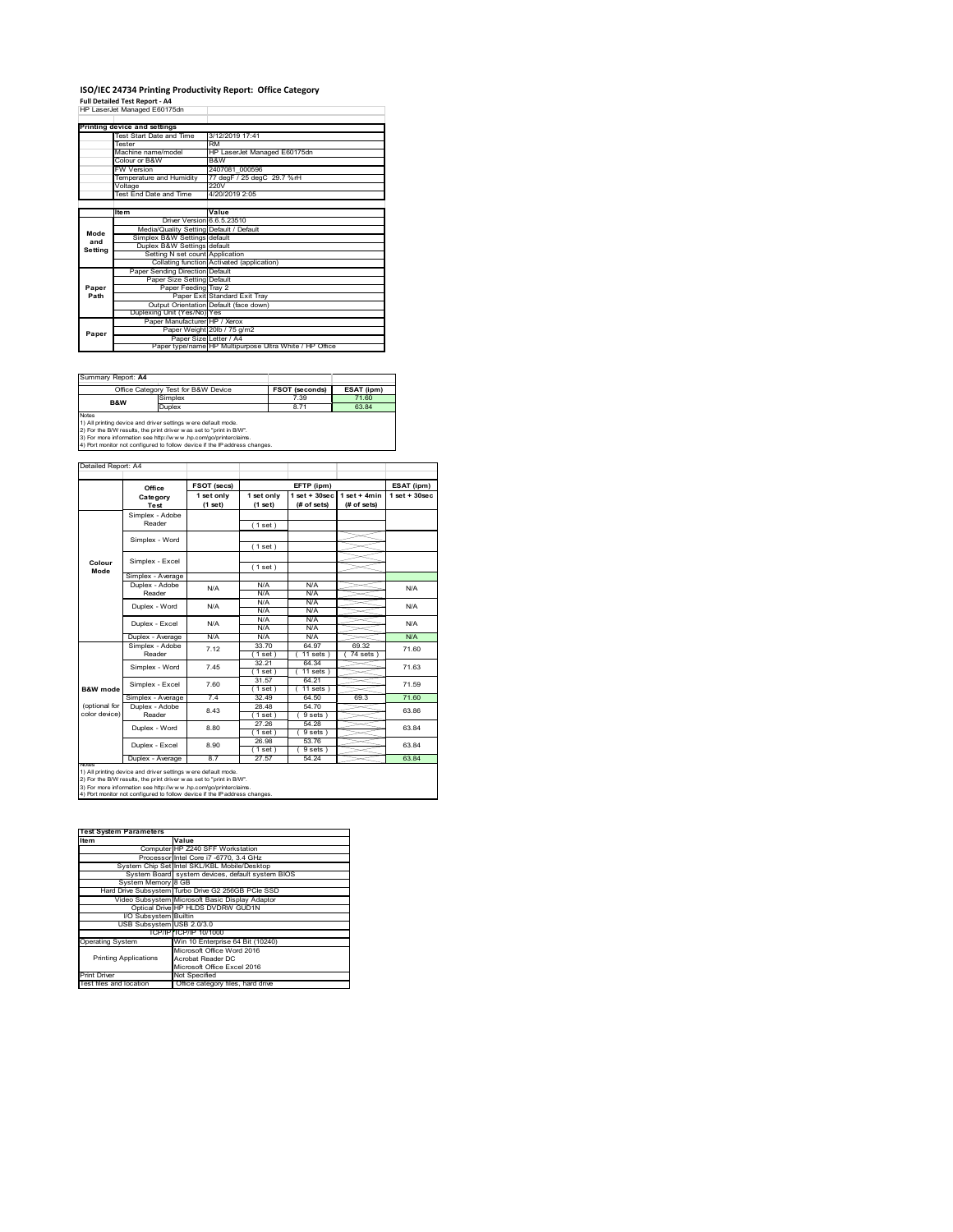# **ISO/IEC 24734 Printing Productivity Report: Office Category<br>Full Detailed Test Report - A4<br>HP LaserJet Managed E60175dn**

|         | HP LaserJet Manaded EbU1/5dh            |                                                         |
|---------|-----------------------------------------|---------------------------------------------------------|
|         | Printing device and settings            |                                                         |
|         | Test Start Date and Time                | 3/12/2019 17:41                                         |
|         | <b>Tester</b>                           | RM                                                      |
|         | Machine name/model                      | HP LaserJet Managed E60175dn                            |
|         | Colour or B&W                           | B&W                                                     |
|         | <b>FW Version</b>                       | 2407081 000596                                          |
|         | Temperature and Humidity                | 77 degF / 25 degC 29.7 %rH                              |
|         | Voltage                                 | 220V                                                    |
|         | Test End Date and Time                  | 4/20/2019 2:05                                          |
|         |                                         |                                                         |
|         | <b>Item</b>                             | Value                                                   |
|         | Driver Version 6.6.5.23510              |                                                         |
| Mode    | Media/Quality Setting Default / Default |                                                         |
| and     | Simplex B&W Settings default            |                                                         |
| Setting | Duplex B&W Settings default             |                                                         |
|         | Setting N set count Application         |                                                         |
|         |                                         | Collating function Activated (application)              |
|         | Paper Sending Direction Default         |                                                         |
|         | Paper Size Setting Default              |                                                         |
| Paper   | Paper Feeding Tray 2                    |                                                         |
| Path    |                                         | Paper Exit Standard Exit Trav                           |
|         |                                         | Output Orientation Default (face down)                  |
|         | Duplexing Unit (Yes/No) Yes             |                                                         |
|         | Paper Manufacturer HP / Xerox           |                                                         |
| Paper   |                                         | Paper Weight 20lb / 75 g/m2                             |
|         | Paper Size Letter / A4                  |                                                         |
|         |                                         | Paper type/name HP Multipurpose Ultra White / HP Office |

| Summary Report: A4                                                                                                                                                                                                                                                                                    |         |                       |            |  |
|-------------------------------------------------------------------------------------------------------------------------------------------------------------------------------------------------------------------------------------------------------------------------------------------------------|---------|-----------------------|------------|--|
| Office Category Test for B&W Device                                                                                                                                                                                                                                                                   |         | <b>FSOT (seconds)</b> | ESAT (ipm) |  |
| <b>B&amp;W</b>                                                                                                                                                                                                                                                                                        | Simplex | 7.39                  | 71.60      |  |
|                                                                                                                                                                                                                                                                                                       | Duplex  | 8.71                  | 6384       |  |
| <b>Notes</b><br>1) All printing device and driver settings were default mode.<br>2) For the B/W results, the print driver was set to "print in B/W".<br>3) For more information see http://www.hp.com/go/printerclaims.<br>4) Port monitor not configured to follow device if the IP address changes. |         |                       |            |  |

|                | Office            | FSOT (secs)           |                       | EFTP (ipm)                        |                               | ESAT (ipm)         |
|----------------|-------------------|-----------------------|-----------------------|-----------------------------------|-------------------------------|--------------------|
|                | Category<br>Test  | 1 set only<br>(1 set) | 1 set only<br>(1 set) | $1$ set + $30$ sec<br>(# of sets) | $1$ set + 4min<br>(# of sets) | $1$ set + $30$ sec |
|                | Simplex - Adobe   |                       |                       |                                   |                               |                    |
|                | Reader            |                       | (1 set)               |                                   |                               |                    |
|                | Simplex - Word    |                       | (1 set)               |                                   |                               |                    |
|                |                   |                       |                       |                                   |                               |                    |
| Colour<br>Mode | Simplex - Excel   |                       | (1 set)               |                                   |                               |                    |
|                | Simplex - Average |                       |                       |                                   |                               |                    |
|                | Duplex - Adobe    | N/A                   | N/A                   | N/A                               |                               | N/A                |
|                | Reader            |                       | N/A                   | N/A                               |                               |                    |
|                | Duplex - Word     | N/A                   | N/A                   | N/A                               |                               | N/A                |
|                |                   |                       | N/A                   | N/A                               |                               |                    |
|                | Duplex - Excel    | N/A                   | N/A<br>N/A            | N/A<br>N/A                        |                               | N/A                |
|                | Duplex - Average  | N/A                   | N/A                   | N/A                               |                               | N/A                |
|                | Simplex - Adobe   |                       | 33.70                 | 64 97                             | 69.32                         |                    |
|                | Reader            | 7 12                  | 1 set                 | $11$ sets $1$                     | 74 sets                       | 71.60              |
|                |                   | 7.45                  | 32.21                 | 64 34                             |                               | 71.63              |
|                | Simplex - Word    |                       | 1 set                 | $11$ sets $)$                     |                               |                    |
|                |                   | 7.60                  | 31.57                 | 64.21                             |                               | 71.59              |
| B&W mode       | Simplex - Excel   |                       | 1 set                 | $11$ sets $)$                     |                               |                    |
|                | Simplex - Average | 74                    | 32 49                 | 64.50                             | 69.3                          | 71.60              |
| (optional for  | Duplex - Adobe    | 843                   | 28.48                 | 54.70                             |                               | 63.86              |
| color device)  | Reader            |                       | $1$ set $1$           | 9 sets                            |                               |                    |
|                | Duplex - Word     | 8.80                  | 27.26                 | 54 28                             |                               | 63.84              |
|                |                   |                       | $1$ set $)$           | 9 sets                            |                               |                    |
|                | Duplex - Excel    | 8.90                  | 26.98                 | 53.76                             |                               | 63.84              |
|                |                   | 87                    | $1$ set               | 9 sets                            |                               |                    |
| NOTAS          | Duplex - Average  |                       | 27.57                 | 54.24                             |                               | 63.84              |

| <b>Test System Parameters</b> |                                                    |
|-------------------------------|----------------------------------------------------|
| Item                          | Value                                              |
|                               | Computer HP Z240 SFF Workstation                   |
|                               | Processor Intel Core i7 -6770, 3.4 GHz             |
|                               | System Chip Set Intel SKL/KBL Mobile/Desktop       |
|                               | System Board system devices, default system BIOS   |
| System Memory 8 GB            |                                                    |
|                               | Hard Drive Subsystem Turbo Drive G2 256GB PCle SSD |
|                               | Video Subsystem Microsoft Basic Display Adaptor    |
|                               | Optical Drive HP HLDS DVDRW GUD1N                  |
| I/O Subsystem Builtin         |                                                    |
| USB Subsystem USB 2.0/3.0     |                                                    |
|                               | TCP/IPITCP/IP 10/1000                              |
| <b>Operating System</b>       | Win 10 Enterprise 64 Bit (10240)                   |
|                               | Microsoft Office Word 2016                         |
| <b>Printing Applications</b>  | Acrobat Reader DC                                  |
|                               | Microsoft Office Excel 2016                        |
| <b>Print Driver</b>           | Not Specified                                      |
| Test files and location       | Office category files, hard drive                  |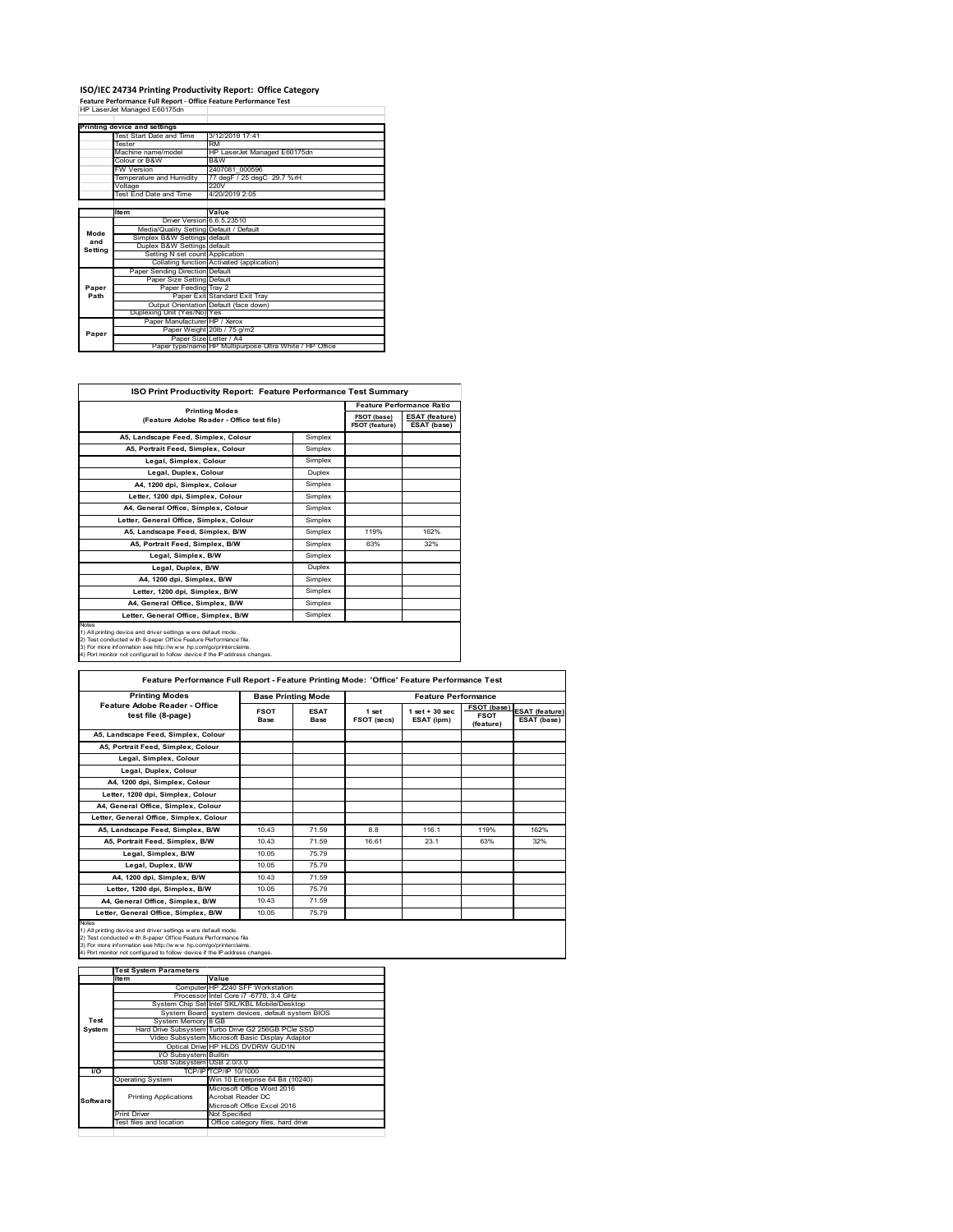## **ISO/IEC 24734 Printing Productivity Report: Office Category Feature Performance Full Report ‐ Office Feature Performance Test** HP LaserJet Managed E60175dn

|         | Printing device and settings            |                                                         |
|---------|-----------------------------------------|---------------------------------------------------------|
|         | Test Start Date and Time                | 3/12/2019 17:41                                         |
|         | <b>Tester</b>                           | <b>RM</b>                                               |
|         | Machine name/model                      | HP LaserJet Managed E60175dn                            |
|         | Colour or B&W                           | B&W                                                     |
|         | <b>FW Version</b>                       | 2407081 000596                                          |
|         | Temperature and Humidity                | 77 degF / 25 degC 29.7 %rH                              |
|         | Voltage                                 | 220V                                                    |
|         | Test End Date and Time                  | 4/20/2019 2:05                                          |
|         |                                         |                                                         |
|         | <b>Item</b>                             | Value                                                   |
| Mode    | Driver Version 6.6.5.23510              |                                                         |
|         | Media/Quality Setting Default / Default |                                                         |
| and     | Simplex B&W Settings default            |                                                         |
| Setting | Duplex B&W Settings default             |                                                         |
|         | Setting N set count Application         |                                                         |
|         |                                         | Collating function Activated (application)              |
|         | Paper Sending Direction Default         |                                                         |
|         | Paper Size Setting Default              |                                                         |
| Paper   | Paper Feeding Tray 2                    |                                                         |
| Path    |                                         | Paper Exit Standard Exit Tray                           |
|         |                                         | Output Orientation Default (face down)                  |
|         | Duplexing Unit (Yes/No) Yes             |                                                         |
|         | Paper Manufacturer HP / Xerox           |                                                         |
| Paper   |                                         | Paper Weight 20lb / 75 g/m2                             |
|         | Paper Size Letter / A4                  |                                                         |
|         |                                         | Paper type/name HP Multipurpose Ultra White / HP Office |

| <b>ISO Print Productivity Report: Feature Performance Test Summary</b>                                                                                                                                                                                                                     |                                                                    |      |                                      |  |  |
|--------------------------------------------------------------------------------------------------------------------------------------------------------------------------------------------------------------------------------------------------------------------------------------------|--------------------------------------------------------------------|------|--------------------------------------|--|--|
|                                                                                                                                                                                                                                                                                            | <b>Printing Modes</b><br>(Feature Adobe Reader - Office test file) |      | <b>Feature Performance Ratio</b>     |  |  |
|                                                                                                                                                                                                                                                                                            |                                                                    |      | <b>ESAT (feature)</b><br>ESAT (base) |  |  |
| A5. Landscape Feed. Simplex. Colour                                                                                                                                                                                                                                                        | Simplex                                                            |      |                                      |  |  |
| A5. Portrait Feed. Simplex. Colour                                                                                                                                                                                                                                                         | Simplex                                                            |      |                                      |  |  |
| Legal, Simplex, Colour                                                                                                                                                                                                                                                                     | Simplex                                                            |      |                                      |  |  |
| Legal, Duplex, Colour                                                                                                                                                                                                                                                                      | Duplex                                                             |      |                                      |  |  |
| A4, 1200 dpi, Simplex, Colour                                                                                                                                                                                                                                                              | Simplex                                                            |      |                                      |  |  |
| Letter, 1200 dpi, Simplex, Colour                                                                                                                                                                                                                                                          | Simplex                                                            |      |                                      |  |  |
| A4, General Office, Simplex, Colour                                                                                                                                                                                                                                                        | Simplex                                                            |      |                                      |  |  |
| Letter, General Office, Simplex, Colour                                                                                                                                                                                                                                                    | Simplex                                                            |      |                                      |  |  |
| A5, Landscape Feed, Simplex, B/W                                                                                                                                                                                                                                                           | Simplex                                                            | 119% | 162%                                 |  |  |
| A5. Portrait Feed. Simplex. B/W                                                                                                                                                                                                                                                            | Simplex                                                            | 63%  | 32%                                  |  |  |
| Legal, Simplex, B/W                                                                                                                                                                                                                                                                        | Simplex                                                            |      |                                      |  |  |
| Legal, Duplex, B/W                                                                                                                                                                                                                                                                         | <b>Duplex</b>                                                      |      |                                      |  |  |
| A4, 1200 dpi, Simplex, B/W                                                                                                                                                                                                                                                                 | Simplex                                                            |      |                                      |  |  |
| Letter, 1200 dpi, Simplex, B/W                                                                                                                                                                                                                                                             | Simplex                                                            |      |                                      |  |  |
| A4, General Office, Simplex, B/W                                                                                                                                                                                                                                                           | Simplex                                                            |      |                                      |  |  |
| Letter, General Office, Simplex, B/W                                                                                                                                                                                                                                                       | Simplex                                                            |      |                                      |  |  |
| Notes<br>1) All printing device and driver settings were default mode.<br>2) Test conducted with 8-paper Office Feature Performance file.<br>3) For more information see http://www.hp.com/go/printerclaims.<br>4) Port monitor not configured to follow device if the IP address changes. |                                                                    |      |                                      |  |  |

| <b>Printing Modes</b>                               |                     | <b>Base Printing Mode</b> |                      | <b>Feature Performance</b>       |                                                |                                      |
|-----------------------------------------------------|---------------------|---------------------------|----------------------|----------------------------------|------------------------------------------------|--------------------------------------|
| Feature Adobe Reader - Office<br>test file (8-page) | <b>FSOT</b><br>Base | <b>ESAT</b><br>Base       | 1 set<br>FSOT (secs) | $1$ set $+30$ sec.<br>ESAT (ipm) | <b>FSOT</b> (base)<br><b>FSOT</b><br>(feature) | <b>ESAT</b> (feature)<br>ESAT (base) |
| A5, Landscape Feed, Simplex, Colour                 |                     |                           |                      |                                  |                                                |                                      |
| A5, Portrait Feed, Simplex, Colour                  |                     |                           |                      |                                  |                                                |                                      |
| Legal, Simplex, Colour                              |                     |                           |                      |                                  |                                                |                                      |
| Legal, Duplex, Colour                               |                     |                           |                      |                                  |                                                |                                      |
| A4, 1200 dpi, Simplex, Colour                       |                     |                           |                      |                                  |                                                |                                      |
| Letter, 1200 dpi, Simplex, Colour                   |                     |                           |                      |                                  |                                                |                                      |
| A4, General Office, Simplex, Colour                 |                     |                           |                      |                                  |                                                |                                      |
| Letter, General Office, Simplex, Colour             |                     |                           |                      |                                  |                                                |                                      |
| A5, Landscape Feed, Simplex, B/W                    | 1043                | 71.59                     | 8.8                  | 116.1                            | 119%                                           | 162%                                 |
| A5. Portrait Feed. Simplex. B/W                     | 1043                | 71.59                     | 16.61                | 231                              | 63%                                            | 32%                                  |
| Legal, Simplex, B/W                                 | 10.05               | 75.79                     |                      |                                  |                                                |                                      |
| Legal, Duplex, B/W                                  | 10.05               | 75.79                     |                      |                                  |                                                |                                      |
| A4, 1200 dpi, Simplex, B/W                          | 1043                | 71.59                     |                      |                                  |                                                |                                      |
| Letter, 1200 dpi, Simplex, B/W                      | 10.05               | 75.79                     |                      |                                  |                                                |                                      |
| A4, General Office, Simplex, B/W                    | 1043                | 71.59                     |                      |                                  |                                                |                                      |
| Letter, General Office, Simplex, B/W                | 10.05               | 75.79                     |                      |                                  |                                                |                                      |

1) All printing device and driver settings were default mode.<br>2) Test conducted with 8-paper Office Feature Performance file<br>3) For more information see http://www.hp.com/go/printerclaims.<br>4) Port monitor not configured to

|           | <b>Test System Parameters</b> |                                                    |
|-----------|-------------------------------|----------------------------------------------------|
|           | Item                          | Value                                              |
|           |                               | Computer HP Z240 SFF Workstation                   |
|           |                               | Processor Intel Core i7 -6770, 3.4 GHz             |
|           |                               | System Chip Set Intel SKL/KBL Mobile/Desktop       |
|           |                               | System Board system devices, default system BIOS   |
| Test      | System Memory 8 GB            |                                                    |
| System    |                               | Hard Drive Subsystem Turbo Drive G2 256GB PCle SSD |
|           |                               | Video Subsystem Microsoft Basic Display Adaptor    |
|           |                               | Optical Drive HP HLDS DVDRW GUD1N                  |
|           | <b>VO Subsystem Builtin</b>   |                                                    |
|           | USB Subsystem USB 2.0/3.0     |                                                    |
| <b>VO</b> |                               | TCP/IP/TCP/IP 10/1000                              |
|           | <b>Operating System</b>       | Win 10 Enterprise 64 Bit (10240)                   |
|           |                               | Microsoft Office Word 2016                         |
| Software  | <b>Printing Applications</b>  | Acrobat Reader DC                                  |
|           |                               | Microsoft Office Excel 2016                        |
|           | <b>Print Driver</b>           | Not Specified                                      |
|           | Test files and location       | Office category files, hard drive                  |
|           |                               |                                                    |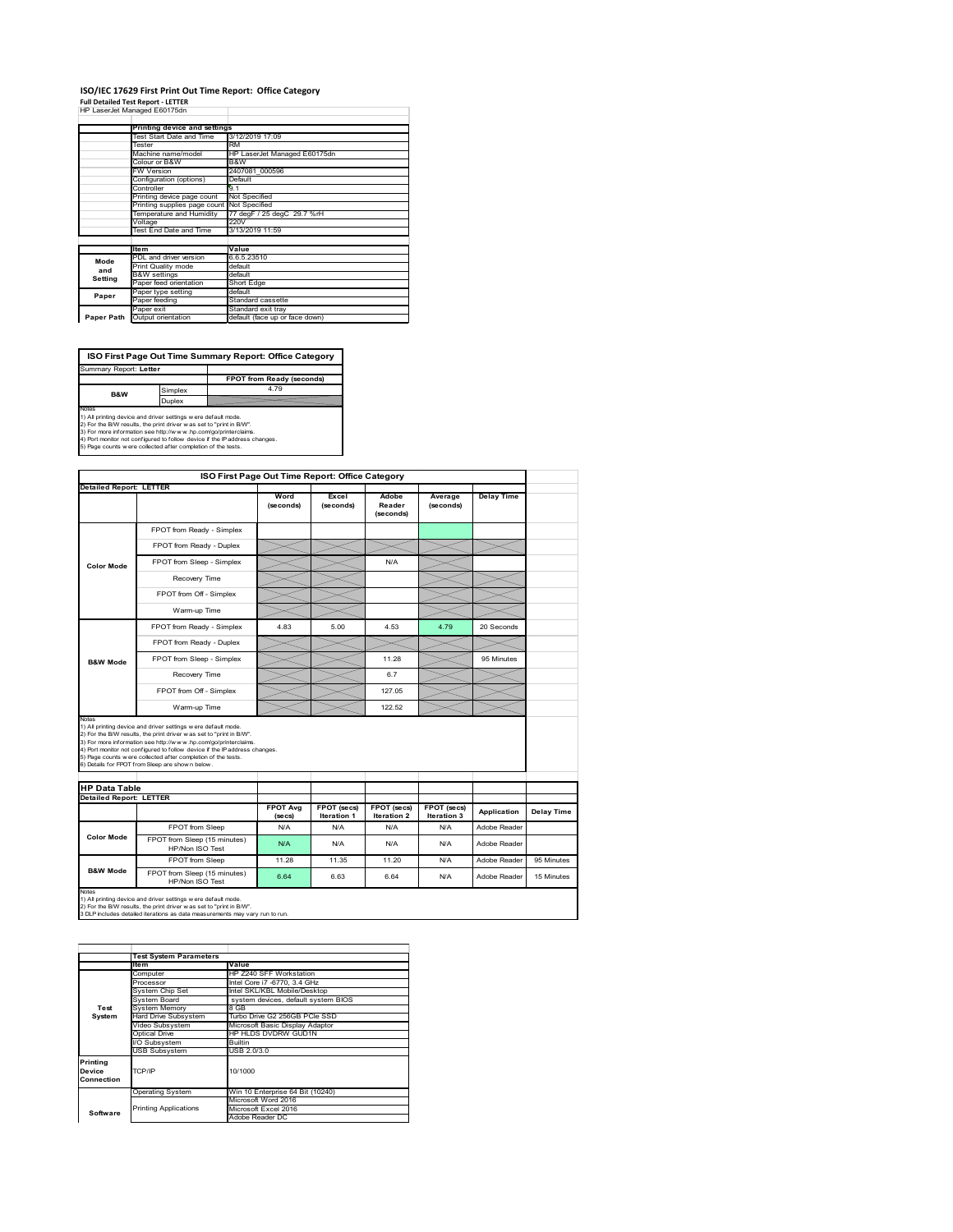#### **ISO/IEC 17629 First Print Out Time Report: Office Category Full Detailed Test Report ‐ LETTER**

|  | HP LaserJet Managed E60175dn |  |
|--|------------------------------|--|

|            | Printing device and settings |                                |  |  |  |  |
|------------|------------------------------|--------------------------------|--|--|--|--|
|            | Test Start Date and Time     | 3/12/2019 17:09                |  |  |  |  |
| Tester     |                              | <b>RM</b>                      |  |  |  |  |
|            | Machine name/model           | HP LaserJet Managed E60175dn   |  |  |  |  |
|            | Colour or B&W                | B&W                            |  |  |  |  |
|            | <b>FW Version</b>            | 2407081 000596                 |  |  |  |  |
|            | Configuration (options)      | Default                        |  |  |  |  |
|            | Controller                   | 9.1                            |  |  |  |  |
|            | Printing device page count   | Not Specified                  |  |  |  |  |
|            | Printing supplies page count | Not Specified                  |  |  |  |  |
|            | Temperature and Humidity     | 77 degF / 25 degC 29.7 %rH     |  |  |  |  |
|            | Voltage                      | 220V                           |  |  |  |  |
|            | Test End Date and Time       | 3/13/2019 11:59                |  |  |  |  |
|            |                              |                                |  |  |  |  |
|            | <b>Item</b>                  | Value                          |  |  |  |  |
| Mode       | PDL and driver version       | 6.6.5.23510                    |  |  |  |  |
| and        | Print Quality mode           | default                        |  |  |  |  |
| Setting    | <b>B&amp;W</b> settings      | default                        |  |  |  |  |
|            | Paper feed orientation       | Short Edge                     |  |  |  |  |
| Paper      | Paper type setting           | default                        |  |  |  |  |
|            | Paper feeding                | Standard cassette              |  |  |  |  |
|            | Paper exit                   | Standard exit tray             |  |  |  |  |
| Paper Path | Output orientation           | default (face up or face down) |  |  |  |  |

**ISO First Page Out Time Summary Report: Office Category** Summary Report: **Letter**

**FPOT from Ready (seconds)**<br>Simplex 4.79 **B&W**

**Duplex**<br>Notes<br>1) All printing device and driver settings were default mode.<br>2) For the BM results, the print driver was set to "print in BM".<br>4) For more information see http://www.hp.com/golprinterclaims.<br>4) Port monitor

| ISO First Page Out Time Report: Office Category |                                                                                                                                                                                                                                                                                                                                                                                                              |                            |                            |                              |                            |                   |            |
|-------------------------------------------------|--------------------------------------------------------------------------------------------------------------------------------------------------------------------------------------------------------------------------------------------------------------------------------------------------------------------------------------------------------------------------------------------------------------|----------------------------|----------------------------|------------------------------|----------------------------|-------------------|------------|
| <b>Detailed Report: LETTER</b>                  |                                                                                                                                                                                                                                                                                                                                                                                                              |                            |                            |                              |                            |                   |            |
|                                                 |                                                                                                                                                                                                                                                                                                                                                                                                              | Word<br>(seconds)          | Excel<br>(seconds)         | Adobe<br>Reader<br>(seconds) | Average<br>(seconds)       | <b>Delay Time</b> |            |
| <b>Color Mode</b>                               | FPOT from Ready - Simplex                                                                                                                                                                                                                                                                                                                                                                                    |                            |                            |                              |                            |                   |            |
|                                                 | FPOT from Ready - Duplex                                                                                                                                                                                                                                                                                                                                                                                     |                            |                            |                              |                            |                   |            |
|                                                 | FPOT from Sleep - Simplex                                                                                                                                                                                                                                                                                                                                                                                    |                            |                            | N/A                          |                            |                   |            |
|                                                 | Recovery Time                                                                                                                                                                                                                                                                                                                                                                                                |                            |                            |                              |                            |                   |            |
|                                                 | FPOT from Off - Simplex                                                                                                                                                                                                                                                                                                                                                                                      |                            |                            |                              |                            |                   |            |
|                                                 | Warm-up Time                                                                                                                                                                                                                                                                                                                                                                                                 |                            |                            |                              |                            |                   |            |
|                                                 | FPOT from Ready - Simplex                                                                                                                                                                                                                                                                                                                                                                                    | 4.83                       | 5.00                       | 4.53                         | 4.79                       | 20 Seconds        |            |
|                                                 | FPOT from Ready - Duplex                                                                                                                                                                                                                                                                                                                                                                                     |                            |                            |                              |                            |                   |            |
| <b>B&amp;W Mode</b>                             | FPOT from Sleep - Simplex                                                                                                                                                                                                                                                                                                                                                                                    |                            |                            | 11.28                        |                            | 95 Minutes        |            |
|                                                 | Recovery Time                                                                                                                                                                                                                                                                                                                                                                                                |                            |                            | 6.7                          |                            |                   |            |
|                                                 | FPOT from Off - Simplex                                                                                                                                                                                                                                                                                                                                                                                      |                            |                            | 127.05                       |                            |                   |            |
|                                                 | Warm-up Time                                                                                                                                                                                                                                                                                                                                                                                                 |                            |                            | 122.52                       |                            |                   |            |
|                                                 | 1) All printing device and driver settings w ere default mode.<br>2) For the B/W results, the print driver w as set to "print in B/W".<br>3) For more information see http://www.hp.com/go/printerclaims.<br>4) Port monitor not configured to follow device if the IP address changes.<br>5) Page counts w ere collected after completion of the tests.<br>6) Details for FPOT from Sleep are show n below. |                            |                            |                              |                            |                   |            |
| <b>HP Data Table</b>                            |                                                                                                                                                                                                                                                                                                                                                                                                              |                            |                            |                              |                            |                   |            |
| <b>Detailed Report: LETTER</b>                  |                                                                                                                                                                                                                                                                                                                                                                                                              | <b>FPOT Avg</b><br>(se cs) | FPOT (secs)<br>Iteration 1 | FPOT (secs)<br>Iteration 2   | FPOT (secs)<br>Iteration 3 | Application       | Delay Time |
|                                                 | FPOT from Sleep                                                                                                                                                                                                                                                                                                                                                                                              | N/A                        | N/A                        | N/A                          | N/A                        | Adobe Reader      |            |
| <b>Color Mode</b>                               | FPOT from Sleep (15 minutes)<br>HP/Non ISO Test                                                                                                                                                                                                                                                                                                                                                              | N/A                        | N/A                        | N/A                          | N/A                        | Adobe Reader      |            |
|                                                 | FPOT from Sleep                                                                                                                                                                                                                                                                                                                                                                                              | 11.28                      | 11.35                      | 11.20                        | N/A                        | Adobe Reader      | 95 Minutes |
| <b>B&amp;W Mode</b>                             | FPOT from Sleep (15 minutes)<br>HP/Non ISO Test                                                                                                                                                                                                                                                                                                                                                              | 6.64                       | 6.63                       | 6.64                         | N/A                        | Adobe Reader      | 15 Minutes |
| Notes                                           | 1) All printing device and driver settings w ere default mode.<br>2) For the B/W results, the print driver was set to "print in B/W".<br>3 DLP includes detailed iterations as data measurements may vary run to run.                                                                                                                                                                                        |                            |                            |                              |                            |                   |            |

**Item Item** Value<br>Computer HP Z240 SFF Workstation<br>Processor Intel Core i7 -6770, 3.4 GHz<br>System Chip Set Intel SKL/KBL Mobile/Desktop<br>System Board system devices, default system BIOS Frocessor<br>System Chip Set<br>System Memory<br>Hard Drive Subsystem<br>Hard Drive Subsystem Hard Drive Subsystem Turbo Drive G2 256GB PCIe SSD Video Subsystem Microsoft Basic Display Adaptor Optical Drive HP HLDS DVDRW GUD1N Subsystem Builtin USB Subsystem USB 2.0/3.0 Operating System Win 10 Enterprise 64 Bit (10240) Microsoft Word 2016 Microsoft Excel 2016 Adobe Reader DC **Printing Device Connection** TCP/IP 10/1000 **Software** Printing Applications **Test System Test System Para**